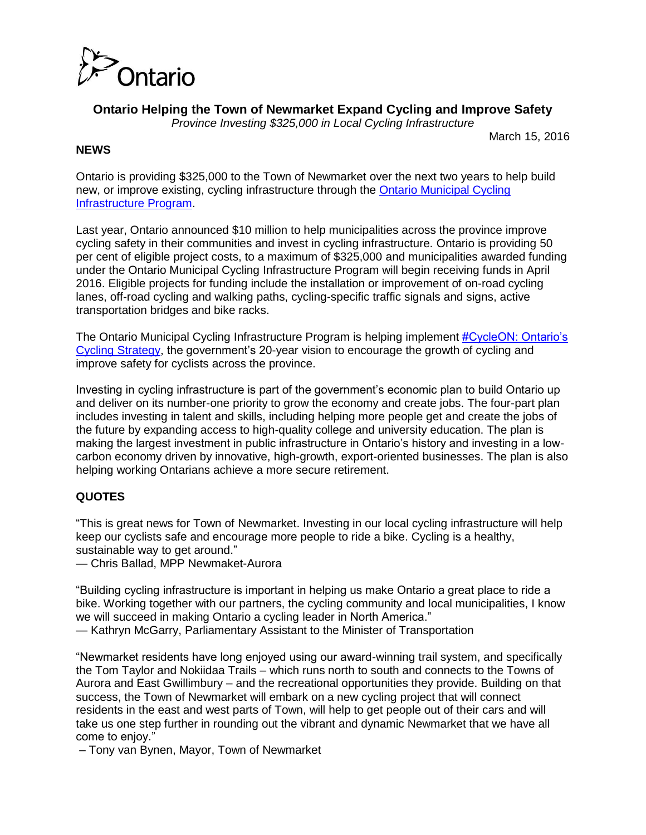

**Ontario Helping the Town of Newmarket Expand Cycling and Improve Safety** 

*Province Investing \$325,000 in Local Cycling Infrastructure*

March 15, 2016

### **NEWS**

Ontario is providing \$325,000 to the Town of Newmarket over the next two years to help build new, or improve existing, cycling infrastructure through the [Ontario Municipal Cycling](http://www.mto.gov.on.ca/english/safety/ontario-municipal-cycling-infrastructure-program.shtml)  [Infrastructure Program.](http://www.mto.gov.on.ca/english/safety/ontario-municipal-cycling-infrastructure-program.shtml)

Last year, Ontario announced \$10 million to help municipalities across the province improve cycling safety in their communities and invest in cycling infrastructure. Ontario is providing 50 per cent of eligible project costs, to a maximum of \$325,000 and municipalities awarded funding under the Ontario Municipal Cycling Infrastructure Program will begin receiving funds in April 2016. Eligible projects for funding include the installation or improvement of on-road cycling lanes, off-road cycling and walking paths, cycling-specific traffic signals and signs, active transportation bridges and bike racks.

The Ontario Municipal Cycling Infrastructure Program is helping implement [#CycleON: Ontario's](http://www.mto.gov.on.ca/english/publications/ontario-cycling-strategy.shtml)  [Cycling Strategy,](http://www.mto.gov.on.ca/english/publications/ontario-cycling-strategy.shtml) the government's 20-year vision to encourage the growth of cycling and improve safety for cyclists across the province.

Investing in cycling infrastructure is part of the government's economic plan to build Ontario up and deliver on its number-one priority to grow the economy and create jobs. The four-part plan includes investing in talent and skills, including helping more people get and create the jobs of the future by expanding access to high-quality college and university education. The plan is making the largest investment in public infrastructure in Ontario's history and investing in a lowcarbon economy driven by innovative, high-growth, export-oriented businesses. The plan is also helping working Ontarians achieve a more secure retirement.

## **QUOTES**

"This is great news for Town of Newmarket. Investing in our local cycling infrastructure will help keep our cyclists safe and encourage more people to ride a bike. Cycling is a healthy, sustainable way to get around."

— Chris Ballad, MPP Newmaket-Aurora

"Building cycling infrastructure is important in helping us make Ontario a great place to ride a bike. Working together with our partners, the cycling community and local municipalities, I know we will succeed in making Ontario a cycling leader in North America."

— Kathryn McGarry, Parliamentary Assistant to the Minister of Transportation

"Newmarket residents have long enjoyed using our award-winning trail system, and specifically the Tom Taylor and Nokiidaa Trails – which runs north to south and connects to the Towns of Aurora and East Gwillimbury – and the recreational opportunities they provide. Building on that success, the Town of Newmarket will embark on a new cycling project that will connect residents in the east and west parts of Town, will help to get people out of their cars and will take us one step further in rounding out the vibrant and dynamic Newmarket that we have all come to enjoy."

– Tony van Bynen, Mayor, Town of Newmarket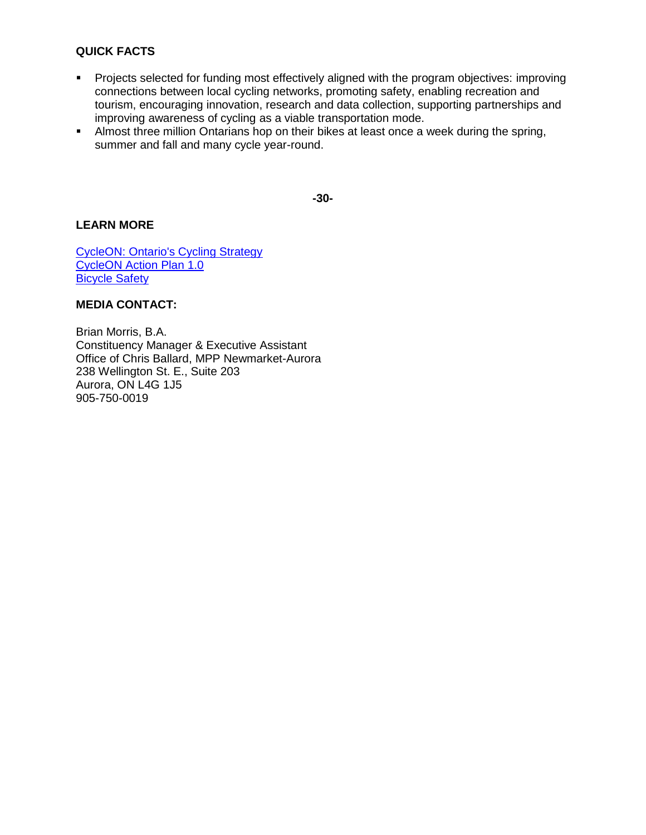#### **QUICK FACTS**

- **Projects selected for funding most effectively aligned with the program objectives: improving** connections between local cycling networks, promoting safety, enabling recreation and tourism, encouraging innovation, research and data collection, supporting partnerships and improving awareness of cycling as a viable transportation mode.
- Almost three million Ontarians hop on their bikes at least once a week during the spring, summer and fall and many cycle year-round.

**-30-** 

#### **LEARN MORE**

[CycleON: Ontario's Cycling Strategy](http://www.mto.gov.on.ca/english/publications/ontario-cycling-strategy.shtml)  [CycleON Action Plan 1.0](http://www.mto.gov.on.ca/english/publications/ontario-cycling-strategy.shtml)  [Bicycle Safety](http://www.mto.gov.on.ca/english/safety/bicycle-safety.shtml) 

#### **MEDIA CONTACT:**

Brian Morris, B.A. Constituency Manager & Executive Assistant Office of Chris Ballard, MPP Newmarket-Aurora 238 Wellington St. E., Suite 203 Aurora, ON L4G 1J5 905-750-0019